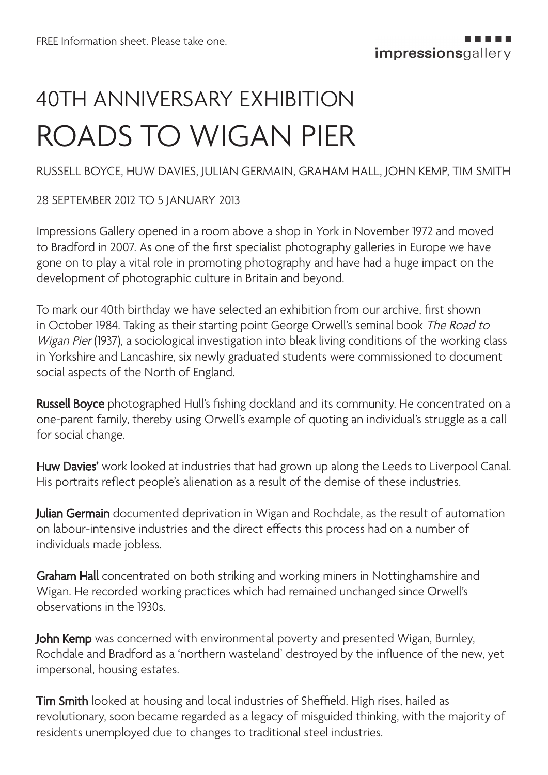# 40TH ANNIVERSARY EXHIBITION ROADS TO WIGAN PIER

RUSSELL BOYCE, HUW DAVIES, JULIAN GERMAIN, GRAHAM HALL, JOHN KEMP, TIM SMITH

#### 28 SEPTEMBER 2012 TO 5 JANUARY 2013

Impressions Gallery opened in a room above a shop in York in November 1972 and moved to Bradford in 2007. As one of the first specialist photography galleries in Europe we have gone on to play a vital role in promoting photography and have had a huge impact on the development of photographic culture in Britain and beyond.

To mark our 40th birthday we have selected an exhibition from our archive, first shown in October 1984. Taking as their starting point George Orwell's seminal book The Road to Wigan Pier (1937), a sociological investigation into bleak living conditions of the working class in Yorkshire and Lancashire, six newly graduated students were commissioned to document social aspects of the North of England.

Russell Boyce photographed Hull's fishing dockland and its community. He concentrated on a one-parent family, thereby using Orwell's example of quoting an individual's struggle as a call for social change.

Huw Davies' work looked at industries that had grown up along the Leeds to Liverpool Canal. His portraits reflect people's alienation as a result of the demise of these industries.

Julian Germain documented deprivation in Wigan and Rochdale, as the result of automation on labour-intensive industries and the direct effects this process had on a number of individuals made jobless.

Graham Hall concentrated on both striking and working miners in Nottinghamshire and Wigan. He recorded working practices which had remained unchanged since Orwell's observations in the 1930s.

John Kemp was concerned with environmental poverty and presented Wigan, Burnley, Rochdale and Bradford as a 'northern wasteland' destroyed by the influence of the new, yet impersonal, housing estates.

**Tim Smith** looked at housing and local industries of Sheffield. High rises, hailed as revolutionary, soon became regarded as a legacy of misguided thinking, with the majority of residents unemployed due to changes to traditional steel industries.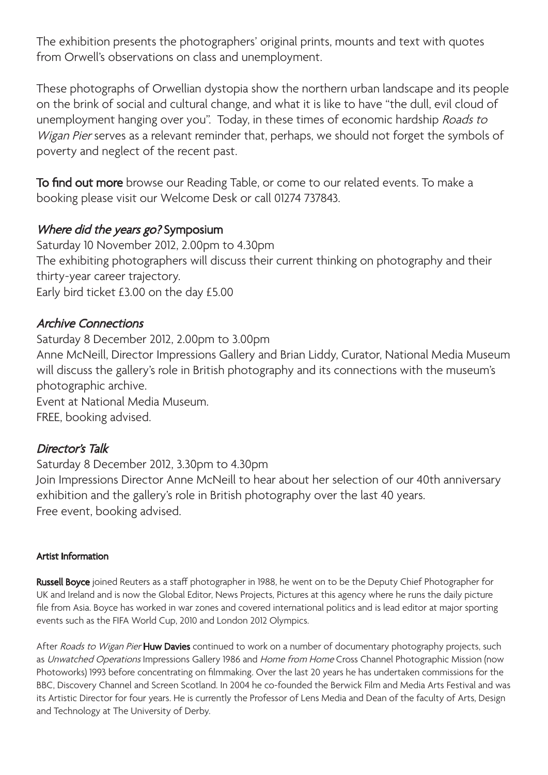The exhibition presents the photographers' original prints, mounts and text with quotes from Orwell's observations on class and unemployment.

These photographs of Orwellian dystopia show the northern urban landscape and its people on the brink of social and cultural change, and what it is like to have "the dull, evil cloud of unemployment hanging over you". Today, in these times of economic hardship Roads to Wigan Pier serves as a relevant reminder that, perhaps, we should not forget the symbols of poverty and neglect of the recent past.

To find out more browse our Reading Table, or come to our related events. To make a booking please visit our Welcome Desk or call 01274 737843.

### Where did the years go? Symposium

Saturday 10 November 2012, 2.00pm to 4.30pm The exhibiting photographers will discuss their current thinking on photography and their thirty-year career trajectory. Early bird ticket £3.00 on the day £5.00

#### Archive Connections

Saturday 8 December 2012, 2.00pm to 3.00pm Anne McNeill, Director Impressions Gallery and Brian Liddy, Curator, National Media Museum will discuss the gallery's role in British photography and its connections with the museum's photographic archive. Event at National Media Museum. FREE, booking advised.

## Director's Talk

Saturday 8 December 2012, 3.30pm to 4.30pm Join Impressions Director Anne McNeill to hear about her selection of our 40th anniversary exhibition and the gallery's role in British photography over the last 40 years. Free event, booking advised.

#### Artist Information

Russell Boyce joined Reuters as a staff photographer in 1988, he went on to be the Deputy Chief Photographer for UK and Ireland and is now the Global Editor, News Projects, Pictures at this agency where he runs the daily picture file from Asia. Boyce has worked in war zones and covered international politics and is lead editor at major sporting events such as the FIFA World Cup, 2010 and London 2012 Olympics.

After Roads to Wigan Pier Huw Davies continued to work on a number of documentary photography projects, such as Unwatched Operations Impressions Gallery 1986 and Home from Home Cross Channel Photographic Mission (now Photoworks) 1993 before concentrating on filmmaking. Over the last 20 years he has undertaken commissions for the BBC, Discovery Channel and Screen Scotland. In 2004 he co-founded the Berwick Film and Media Arts Festival and was its Artistic Director for four years. He is currently the Professor of Lens Media and Dean of the faculty of Arts, Design and Technology at The University of Derby.